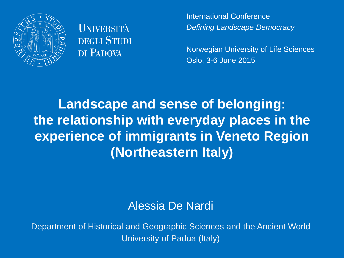

**UNIVERSITÀ DEGLI STUDI** DI PADOVA

International Conference *Defining Landscape Democracy*

Norwegian University of Life Sciences Oslo, 3-6 June 2015

# **Landscape and sense of belonging: the relationship with everyday places in the experience of immigrants in Veneto Region (Northeastern Italy)**

#### Alessia De Nardi

Department of Historical and Geographic Sciences and the Ancient World University of Padua (Italy)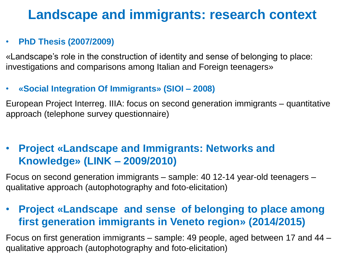# **Landscape and immigrants: research context**

#### • **PhD Thesis (2007/2009)**

«Landscape's role in the construction of identity and sense of belonging to place: investigations and comparisons among Italian and Foreign teenagers»

#### • **«Social Integration Of Immigrants» (SIOI – 2008)**

European Project Interreg. IIIA: focus on second generation immigrants – quantitative approach (telephone survey questionnaire)

### • **Project «Landscape and Immigrants: Networks and Knowledge» (LINK – 2009/2010)**

Focus on second generation immigrants – sample: 40 12-14 year-old teenagers – qualitative approach (autophotography and foto-elicitation)

### • **Project «Landscape and sense of belonging to place among first generation immigrants in Veneto region» (2014/2015)**

Focus on first generation immigrants – sample: 49 people, aged between 17 and 44 – qualitative approach (autophotography and foto-elicitation)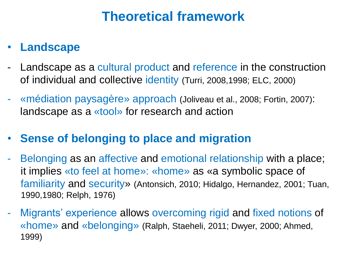### **Theoretical framework**

### • **Landscape**

- Landscape as a cultural product and reference in the construction of individual and collective identity (Turri, 2008,1998; ELC, 2000)
- «médiation paysagère» approach (Joliveau et al., 2008; Fortin, 2007): landscape as a «tool» for research and action

### • **Sense of belonging to place and migration**

- Belonging as an affective and emotional relationship with a place; it implies «to feel at home»: «home» as «a symbolic space of familiarity and security» (Antonsich, 2010; Hidalgo, Hernandez, 2001; Tuan, 1990,1980; Relph, 1976)
- Migrants' experience allows overcoming rigid and fixed notions of «home» and «belonging» (Ralph, Staeheli, 2011; Dwyer, 2000; Ahmed, 1999)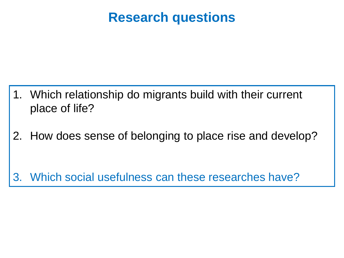### **Research questions**

- 1. Which relationship do migrants build with their current place of life?
- 2. How does sense of belonging to place rise and develop?

3. Which social usefulness can these researches have?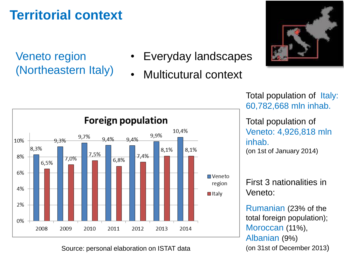# **Territorial context**

Veneto region (Northeastern Italy)

- Everyday landscapes
- Multicutural context



**Foreign population** 10,4% 9,9% 9,7% 9.4%  $9.4%$ 10% 9.3% 8,3% 8,1% 8,1% 7,5%  $7,4%$ 8% 7,0% 6.8% 6.5% 6%  $\blacksquare$  Veneto region 4%  $\blacksquare$ Italy 2% 0% 2008 2009 2011 2012 2013 2014 2010

Source: personal elaboration on ISTAT data

Total population of Italy: 60,782,668 mln inhab.

Total population of Veneto: 4,926,818 mln inhab. (on 1st of January 2014)

First 3 nationalities in Veneto:

Rumanian (23% of the total foreign population); Moroccan (11%), Albanian (9%) (on 31st of December 2013)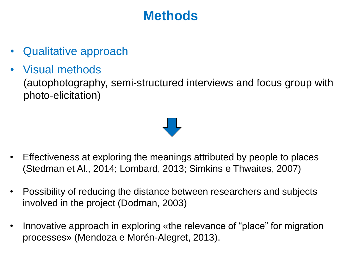# **Methods**

- Qualitative approach
- Visual methods (autophotography, semi-structured interviews and focus group with photo-elicitation)



- Effectiveness at exploring the meanings attributed by people to places (Stedman et Al., 2014; Lombard, 2013; Simkins e Thwaites, 2007)
- Possibility of reducing the distance between researchers and subjects involved in the project (Dodman, 2003)
- Innovative approach in exploring «the relevance of "place" for migration processes» (Mendoza e Morén-Alegret, 2013).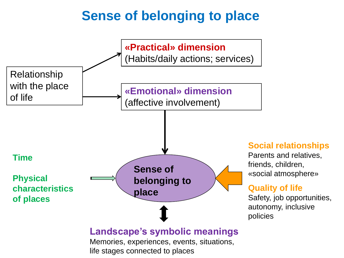# **Sense of belonging to place**

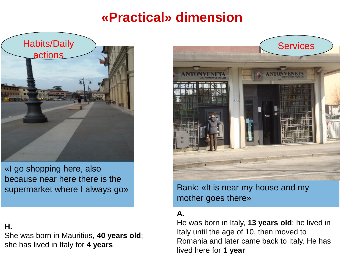## **«Practical» dimension**



«I go shopping here, also because near here there is the supermarket where I always go»

#### **H.**

She was born in Mauritius, **40 years old**; she has lived in Italy for **4 years**



Bank: «It is near my house and my mother goes there»

#### **A.**

He was born in Italy, **13 years old**; he lived in Italy until the age of 10, then moved to Romania and later came back to Italy. He has lived here for **1 year**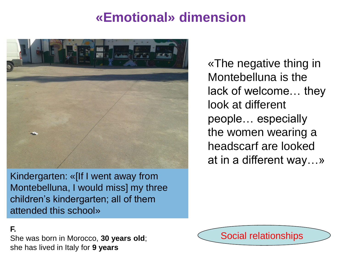### **«Emotional» dimension**



Kindergarten: «[If I went away from Montebelluna, I would miss] my three children's kindergarten; all of them attended this school»

«The negative thing in Montebelluna is the lack of welcome… they look at different people… especially the women wearing a headscarf are looked at in a different way…»

#### **F.**

She was born in Morocco, **30 years old**; she has lived in Italy for **9 years**

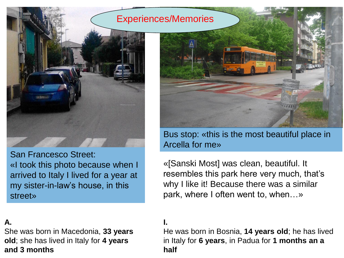#### Experiences/Memories



San Francesco Street: «I took this photo because when I arrived to Italy I lived for a year at my sister-in-law's house, in this street»

#### **A.**

She was born in Macedonia, **33 years old**; she has lived in Italy for **4 years and 3 months**



Bus stop: «this is the most beautiful place in Arcella for me»

«[Sanski Most] was clean, beautiful. It resembles this park here very much, that's why I like it! Because there was a similar park, where I often went to, when…»

#### **I.**

He was born in Bosnia, **14 years old**; he has lived in Italy for **6 years**, in Padua for **1 months an a half**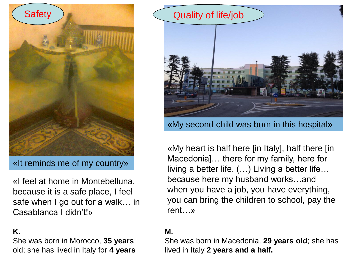

«It reminds me of my country»

«I feel at home in Montebelluna, because it is a safe place, I feel safe when I go out for a walk… in Casablanca I didn't!»

#### **K.**

She was born in Morocco, **35 years**  old; she has lived in Italy for **4 years**



«My second child was born in this hospital»

«My heart is half here [in Italy], half there [in Macedonia]… there for my family, here for living a better life. (…) Living a better life… because here my husband works…and when you have a job, you have everything, you can bring the children to school, pay the rent…»

#### **M.**

She was born in Macedonia, **29 years old**; she has lived in Italy **2 years and a half.**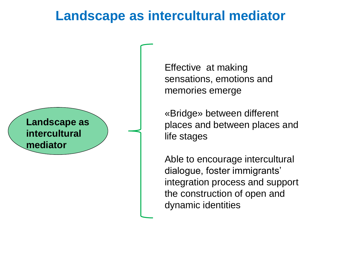### **Landscape as intercultural mediator**



Effective at making sensations, emotions and memories emerge

«Bridge» between different places and between places and life stages

Able to encourage intercultural dialogue, foster immigrants' integration process and support the construction of open and dynamic identities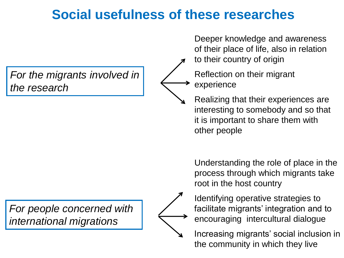# **Social usefulness of these researches**

*For the migrants involved in the research*

*For people concerned with international migrations*



Deeper knowledge and awareness of their place of life, also in relation

to their country of origin

Reflection on their migrant experience

Realizing that their experiences are interesting to somebody and so that it is important to share them with other people

Understanding the role of place in the process through which migrants take root in the host country

Identifying operative strategies to facilitate migrants' integration and to encouraging intercultural dialogue

Increasing migrants' social inclusion in the community in which they live